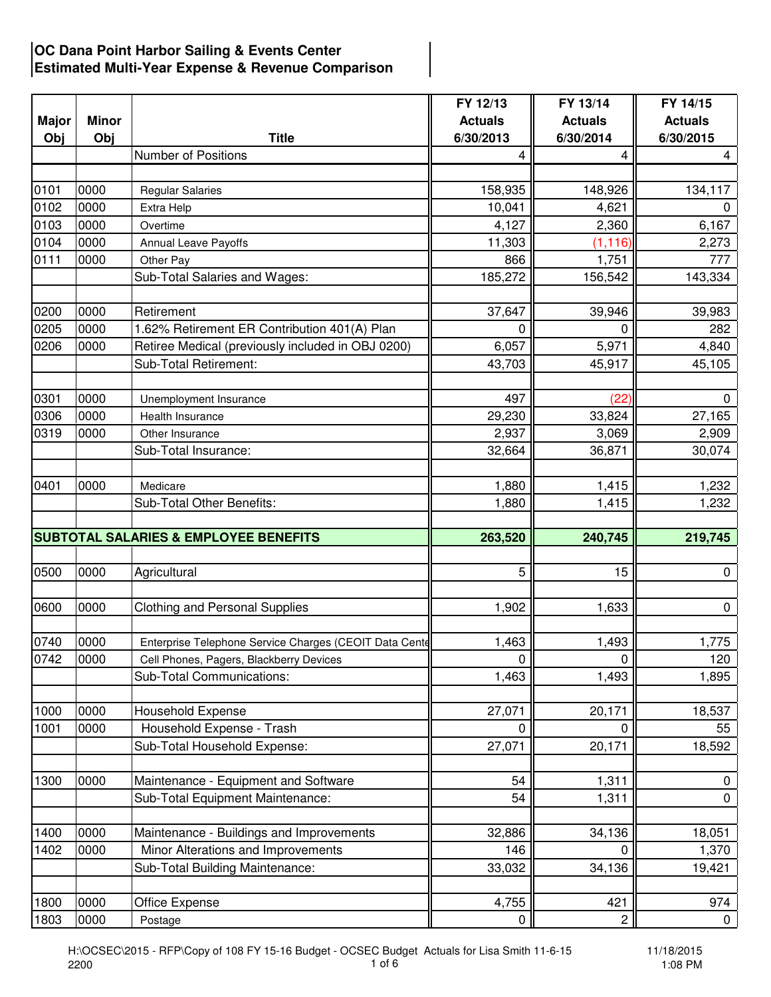## **OC Dana Point Harbor Sailing & Events Center Estimated Multi-Year Expense & Revenue Comparison**

|              |              |                                                        | FY 12/13       | FY 13/14       | FY 14/15       |
|--------------|--------------|--------------------------------------------------------|----------------|----------------|----------------|
| <b>Major</b> | <b>Minor</b> |                                                        | <b>Actuals</b> | <b>Actuals</b> | <b>Actuals</b> |
| Obj          | Obj          | <b>Title</b>                                           | 6/30/2013      | 6/30/2014      | 6/30/2015      |
|              |              | <b>Number of Positions</b>                             | 4              |                | 4              |
|              |              |                                                        |                |                |                |
| 0101         | 0000         | <b>Regular Salaries</b>                                | 158,935        | 148,926        | 134,117        |
| 0102         | 0000         | Extra Help                                             | 10,041         | 4,621          | 0              |
| 0103         | 0000         | Overtime                                               | 4,127          | 2,360          | 6,167          |
| 0104         | 0000         | Annual Leave Payoffs                                   | 11,303         | (1, 116)       | 2,273          |
| 0111         | 0000         | Other Pay                                              | 866            | 1,751          | 777            |
|              |              | Sub-Total Salaries and Wages:                          | 185,272        | 156,542        | 143,334        |
| 0200         | 0000         | Retirement                                             | 37,647         | 39,946         | 39,983         |
| 0205         | 0000         | 1.62% Retirement ER Contribution 401(A) Plan           | 0              | 0              | 282            |
| 0206         | 0000         | Retiree Medical (previously included in OBJ 0200)      | 6,057          | 5,971          | 4,840          |
|              |              | Sub-Total Retirement:                                  | 43,703         | 45,917         | 45,105         |
|              |              |                                                        |                |                |                |
| 0301         | 0000         | Unemployment Insurance                                 | 497            | (22)           | $\mathbf 0$    |
| 0306         | 0000         | Health Insurance                                       | 29,230         | 33,824         | 27,165         |
| 0319         | 0000         | Other Insurance                                        | 2,937          | 3,069          | 2,909          |
|              |              | Sub-Total Insurance:                                   | 32,664         | 36,871         | 30,074         |
|              |              |                                                        |                |                |                |
| 0401         | 0000         | Medicare                                               | 1,880          | 1,415          | 1,232          |
|              |              | Sub-Total Other Benefits:                              | 1,880          | 1,415          | 1,232          |
|              |              |                                                        |                |                |                |
|              |              | <b>SUBTOTAL SALARIES &amp; EMPLOYEE BENEFITS</b>       | 263,520        | 240,745        | 219,745        |
|              |              |                                                        |                |                |                |
| 0500         | 0000         | Agricultural                                           | 5              | 15             | 0              |
| 0600         | 0000         | <b>Clothing and Personal Supplies</b>                  | 1,902          | 1,633          | 0              |
|              |              |                                                        |                |                |                |
| 0740         | 0000         | Enterprise Telephone Service Charges (CEOIT Data Cente | 1,463          | 1,493          | 1,775          |
| 0742         | 0000         | Cell Phones, Pagers, Blackberry Devices                | $\pmb{0}$      | 0              | 120            |
|              |              | Sub-Total Communications:                              | 1,463          | 1,493          | 1,895          |
|              |              |                                                        |                |                |                |
| 1000         | 0000         | Household Expense                                      | 27,071         | 20,171         | 18,537         |
| 1001         | 0000         | Household Expense - Trash                              | 0              | 0              | 55             |
|              |              | Sub-Total Household Expense:                           | 27,071         | 20,171         | 18,592         |
|              |              |                                                        |                |                |                |
| 1300         | 0000         | Maintenance - Equipment and Software                   | 54             | 1,311          | 0              |
|              |              | Sub-Total Equipment Maintenance:                       | 54             | 1,311          | 0              |
| 1400         | 0000         | Maintenance - Buildings and Improvements               | 32,886         | 34,136         | 18,051         |
| 1402         | 0000         | Minor Alterations and Improvements                     | 146            | 0              | 1,370          |
|              |              | Sub-Total Building Maintenance:                        | 33,032         | 34,136         | 19,421         |
|              |              |                                                        |                |                |                |
| 1800         | 0000         | Office Expense                                         | 4,755          | 421            | 974            |
| 1803         | 0000         | Postage                                                | 0              | $\overline{c}$ | $\mathbf{0}$   |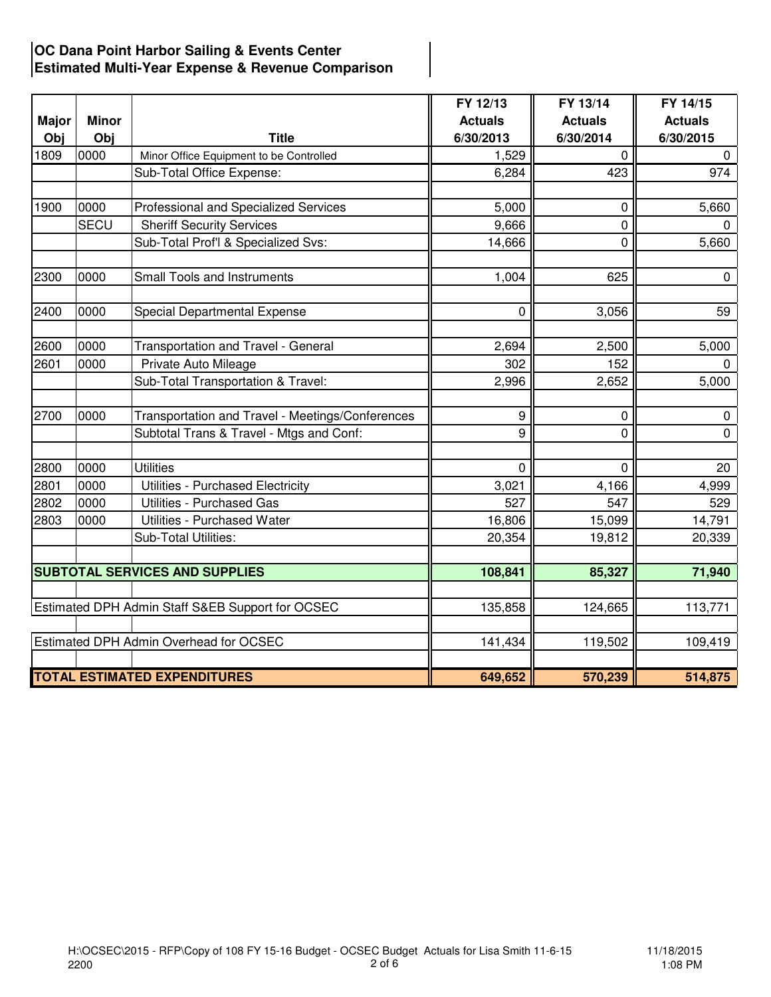## **OC Dana Point Harbor Sailing & Events Center Estimated Multi-Year Expense & Revenue Comparison**

|              |              |                                                  | FY 12/13       | FY 13/14       | FY 14/15       |
|--------------|--------------|--------------------------------------------------|----------------|----------------|----------------|
| <b>Major</b> | <b>Minor</b> |                                                  | <b>Actuals</b> | <b>Actuals</b> | <b>Actuals</b> |
| Obj          | Obj          | <b>Title</b>                                     | 6/30/2013      | 6/30/2014      | 6/30/2015      |
| 1809         | 0000         | Minor Office Equipment to be Controlled          | 1,529          | $\mathbf{0}$   | $\mathbf 0$    |
|              |              | Sub-Total Office Expense:                        | 6,284          | 423            | 974            |
|              |              |                                                  |                |                |                |
| 1900         | 0000         | Professional and Specialized Services            | 5,000          | 0              | 5,660          |
|              | <b>SECU</b>  | <b>Sheriff Security Services</b>                 | 9,666          | $\mathbf 0$    | $\mathbf 0$    |
|              |              | Sub-Total Prof'l & Specialized Svs:              | 14,666         | $\Omega$       | 5,660          |
| 2300         | 0000         | <b>Small Tools and Instruments</b>               | 1,004          | 625            | $\mathbf 0$    |
| 2400         | 0000         | Special Departmental Expense                     | $\mathbf 0$    | 3,056          | 59             |
| 2600         | 0000         | Transportation and Travel - General              | 2,694          | 2,500          | 5,000          |
| 2601         | 0000         | Private Auto Mileage                             | 302            | 152            | $\mathbf 0$    |
|              |              | Sub-Total Transportation & Travel:               | 2,996          | 2,652          | 5,000          |
| 2700         | 0000         | Transportation and Travel - Meetings/Conferences | 9              | 0              | $\mathbf 0$    |
|              |              | Subtotal Trans & Travel - Mtgs and Conf:         | 9              | $\Omega$       | $\mathsf{O}$   |
| 2800         | 0000         | <b>Utilities</b>                                 | $\mathbf 0$    | 0              | 20             |
| 2801         | 0000         | Utilities - Purchased Electricity                | 3,021          | 4,166          | 4,999          |
| 2802         | 0000         | <b>Utilities - Purchased Gas</b>                 | 527            | 547            | 529            |
| 2803         | 0000         | Utilities - Purchased Water                      | 16,806         | 15,099         | 14,791         |
|              |              | Sub-Total Utilities:                             | 20,354         | 19,812         | 20,339         |
|              |              |                                                  |                |                |                |
|              |              | <b>SUBTOTAL SERVICES AND SUPPLIES</b>            | 108,841        | 85,327         | 71,940         |
|              |              | Estimated DPH Admin Staff S&EB Support for OCSEC | 135,858        | 124,665        | 113,771        |
|              |              |                                                  |                |                |                |
|              |              | Estimated DPH Admin Overhead for OCSEC           | 141,434        | 119,502        | 109,419        |
|              |              | <b>TOTAL ESTIMATED EXPENDITURES</b>              | 649,652        | 570,239        | 514,875        |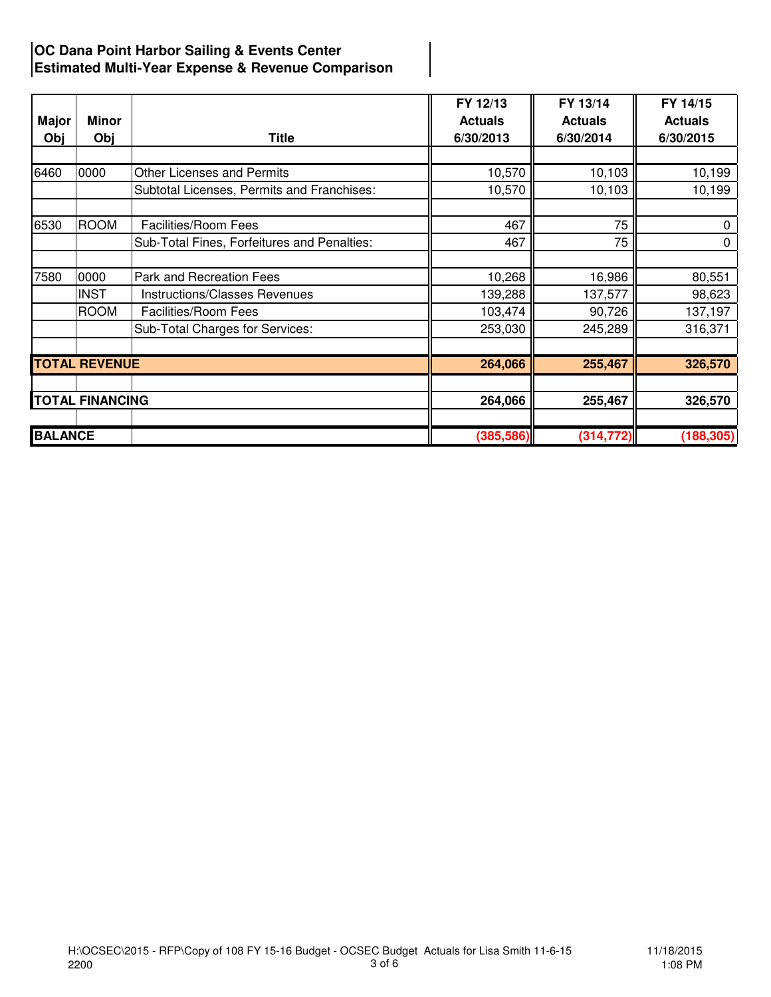## **OC Dana Point Harbor Sailing & Events Center Estimated Multi-Year Expense & Revenue Comparison**

| <b>Major</b>   | Minor                  |                                             | FY 12/13<br><b>Actuals</b> | FY 13/14<br><b>Actuals</b> | FY 14/15<br><b>Actuals</b> |
|----------------|------------------------|---------------------------------------------|----------------------------|----------------------------|----------------------------|
| Obj            | Obj                    | <b>Title</b>                                | 6/30/2013                  | 6/30/2014                  | 6/30/2015                  |
| 6460           | 0000                   | <b>Other Licenses and Permits</b>           | 10,570                     | 10,103                     | 10,199                     |
|                |                        | Subtotal Licenses, Permits and Franchises:  | 10,570                     | 10,103                     | 10,199                     |
| 6530           | <b>ROOM</b>            | Facilities/Room Fees                        | 467                        | 75                         | 0                          |
|                |                        | Sub-Total Fines, Forfeitures and Penalties: | 467                        | 75                         | 0                          |
| 7580           | 0000                   | Park and Recreation Fees                    | 10,268                     | 16,986                     | 80,551                     |
|                | <b>INST</b>            | Instructions/Classes Revenues               | 139,288                    | 137,577                    | 98,623                     |
|                | <b>ROOM</b>            | Facilities/Room Fees                        | 103,474                    | 90,726                     | 137,197                    |
|                |                        | Sub-Total Charges for Services:             | 253,030                    | 245,289                    | 316,371                    |
|                | <b>TOTAL REVENUE</b>   |                                             | 264,066                    | 255,467                    | 326,570                    |
|                |                        |                                             |                            |                            |                            |
|                | <b>TOTAL FINANCING</b> |                                             | 264,066                    | 255,467                    | 326,570                    |
| <b>BALANCE</b> |                        |                                             | (385, 586)                 | (314, 772)                 | (188, 305)                 |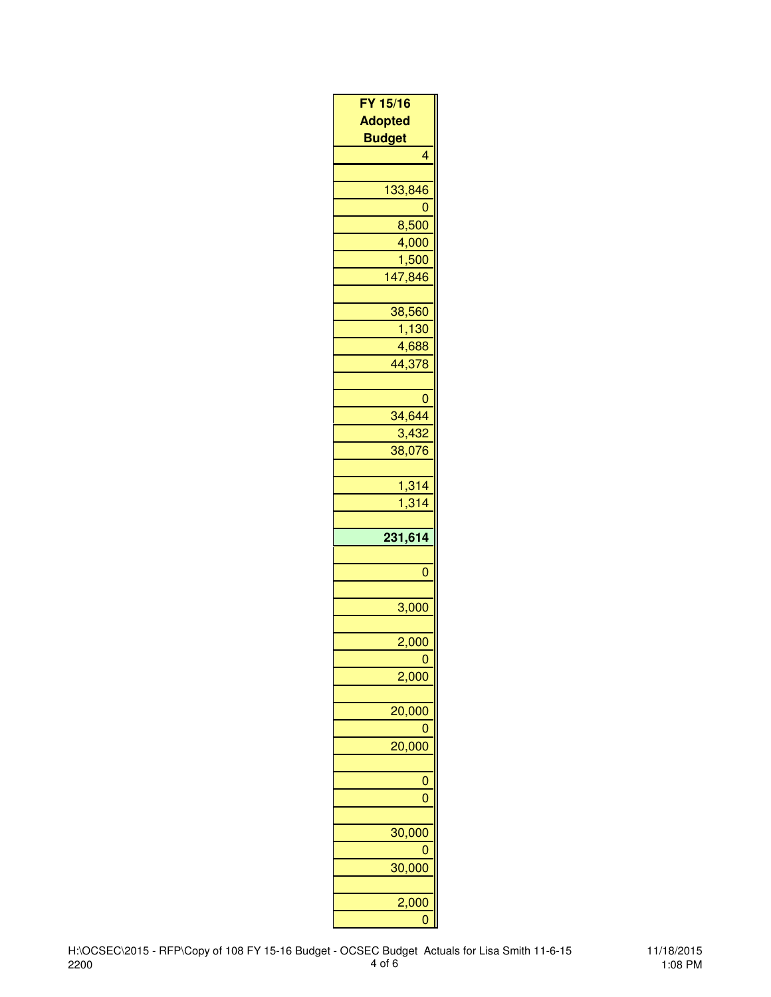| FY 15/16                |  |
|-------------------------|--|
| <b>Adopted</b>          |  |
| <b>Budget</b>           |  |
| $\overline{\mathbf{4}}$ |  |
| 133,846                 |  |
| 0                       |  |
| 8,500                   |  |
| 4,000                   |  |
| <u>1,500</u>            |  |
| 147,846                 |  |
|                         |  |
| 38,560                  |  |
| <u>1,130</u>            |  |
| 4,688                   |  |
| 44,378                  |  |
| $\overline{0}$          |  |
| 34,644                  |  |
| 3,432                   |  |
| 38,076                  |  |
|                         |  |
|                         |  |
| 1,314<br>1,314          |  |
|                         |  |
|                         |  |
| 231,614                 |  |
|                         |  |
| 0                       |  |
|                         |  |
| 3,000                   |  |
|                         |  |
| 2,000                   |  |
| 2,000                   |  |
|                         |  |
| 20,000                  |  |
|                         |  |
| 20,000                  |  |
|                         |  |
|                         |  |
| 0                       |  |
|                         |  |
| 30,000                  |  |
|                         |  |
| 30,000                  |  |
| 2,000                   |  |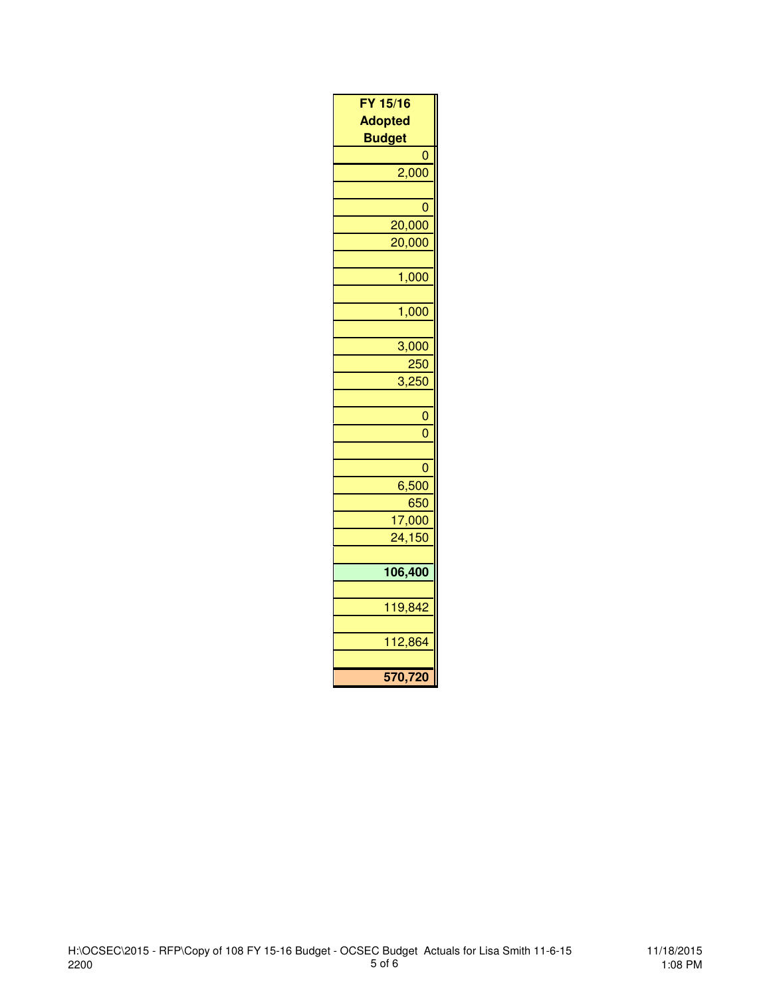| FY 15/16            |
|---------------------|
| <b>Adopted</b>      |
| <b>Budget</b>       |
| 0                   |
| 2,000               |
|                     |
| 0                   |
| 20,000              |
| 20,000              |
|                     |
| 1,000               |
|                     |
| 1,000               |
|                     |
| 3,000               |
| $\frac{250}{3,250}$ |
|                     |
| $\mathbf{0}$        |
| $\overline{0}$      |
|                     |
| 0                   |
| 6,500               |
| 650                 |
| 17,000              |
| 24,150              |
|                     |
| 106,400             |
|                     |
| 119,842             |
|                     |
| 112,864             |
|                     |
| 570,720             |